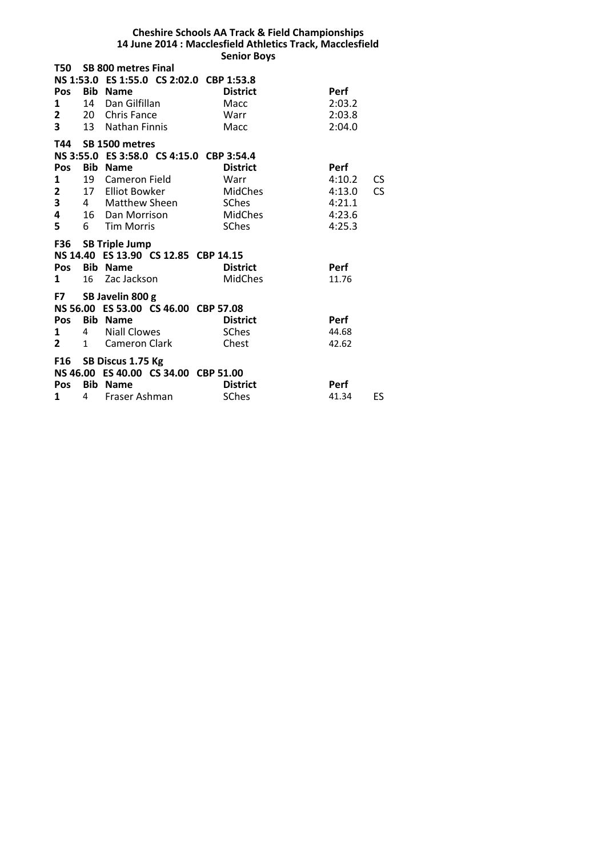# **Cheshire Schools AA Track & Field Championships 14 June 2014 : Macclesfield Athletics Track, Macclesfield Senior Boys**

| T50            |                | <b>SB 800 metres Final</b>               |                 |             |           |
|----------------|----------------|------------------------------------------|-----------------|-------------|-----------|
|                |                | NS 1:53.0 ES 1:55.0 CS 2:02.0 CBP 1:53.8 |                 |             |           |
| Pos            |                | <b>Bib Name</b>                          | <b>District</b> | Perf        |           |
| 1              | 14             | Dan Gilfillan                            | Macc            | 2:03.2      |           |
| $\overline{2}$ | <b>20</b>      | Chris Fance                              | Warr            | 2:03.8      |           |
| $3^{\circ}$    |                | 13 Nathan Finnis                         | Macc            | 2:04.0      |           |
|                |                | T44 SB 1500 metres                       |                 |             |           |
|                |                | NS 3:55.0 ES 3:58.0 CS 4:15.0 CBP 3:54.4 |                 |             |           |
| <b>Pos</b>     |                | <b>Bib Name</b>                          | <b>District</b> | <b>Perf</b> |           |
| 1              | 19             | Cameron Field                            | Warr            | 4:10.2      | CS        |
| $\mathbf{2}$   |                | 17 Elliot Bowker                         | MidChes         | 4:13.0      | <b>CS</b> |
| 3              | 4              | Matthew Sheen                            | SChes           | 4:21.1      |           |
| 4              |                | 16 Dan Morrison                          | MidChes         | 4:23.6      |           |
| 5              | 6              | <b>Tim Morris</b>                        | SChes           | 4:25.3      |           |
|                |                |                                          |                 |             |           |
|                |                | F36 SB Triple Jump                       |                 |             |           |
|                |                | NS 14.40 ES 13.90 CS 12.85 CBP 14.15     |                 |             |           |
| Pos            |                | <b>Bib Name</b>                          | <b>District</b> | Perf        |           |
| 1              | 16             | Zac Jackson                              | <b>MidChes</b>  | 11.76       |           |
|                |                | F7 SB Javelin 800 g                      |                 |             |           |
|                |                | NS 56.00 ES 53.00 CS 46.00 CBP 57.08     |                 |             |           |
| Pos            |                | <b>Bib Name</b>                          | <b>District</b> | <b>Perf</b> |           |
| $\mathbf{1}$   | $\overline{4}$ | <b>Niall Clowes</b>                      | <b>SChes</b>    | 44.68       |           |
| $\mathbf{2}$   | $\mathbf{1}$   | Cameron Clark                            | Chest           | 42.62       |           |
|                |                | F16 SB Discus 1.75 Kg                    |                 |             |           |
|                |                | NS 46.00 ES 40.00 CS 34.00 CBP 51.00     |                 |             |           |
| <b>Pos</b>     | Bib            | <b>Name</b>                              | <b>District</b> | <b>Perf</b> |           |
| 1              | 4              | Fraser Ashman                            | <b>SChes</b>    | 41.34       | ES        |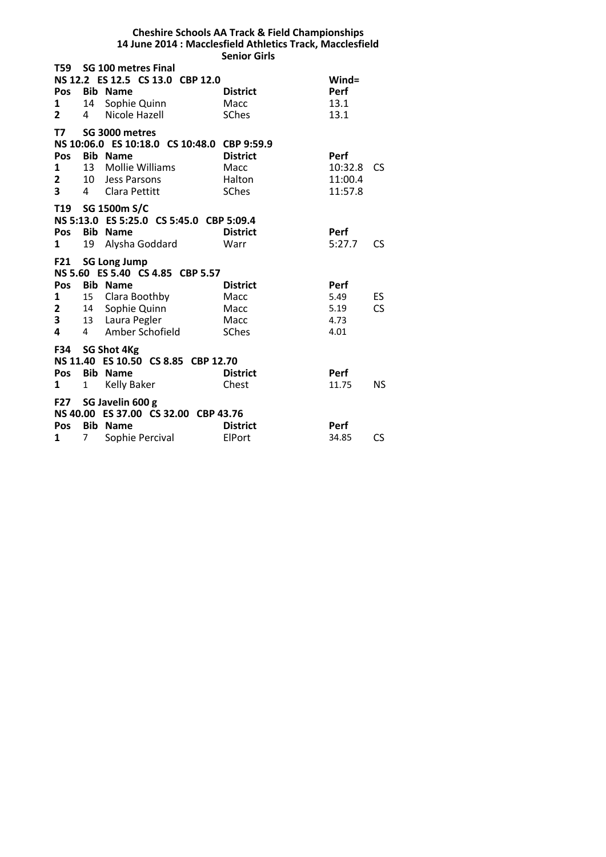#### **Cheshire Schools AA Track & Field Championships 14 June 2014 : Macclesfield Athletics Track, Macclesfield Senior Girls**

| T59 L                   |                | <b>SG 100 metres Final</b>                  |                 |             |           |
|-------------------------|----------------|---------------------------------------------|-----------------|-------------|-----------|
|                         |                | NS 12.2 ES 12.5 CS 13.0 CBP 12.0            |                 | Wind=       |           |
| Pos                     |                | <b>Bib Name</b>                             | <b>District</b> | Perf        |           |
| 1                       | 14             | Sophie Quinn                                | Macc            | 13.1        |           |
| $\overline{2}$          | 4              | Nicole Hazell                               | <b>SChes</b>    | 13.1        |           |
| T7                      |                | SG 3000 metres                              |                 |             |           |
|                         |                | NS 10:06.0 ES 10:18.0 CS 10:48.0 CBP 9:59.9 |                 |             |           |
| <b>Pos</b>              |                | <b>Bib Name</b>                             | <b>District</b> | <b>Perf</b> |           |
| 1                       |                | 13 Mollie Williams                          | Macc            | 10:32.8     | <b>CS</b> |
| $\mathbf{2}$            |                | 10 Jess Parsons                             | Halton          | 11:00.4     |           |
| $\overline{\mathbf{3}}$ | 4              | Clara Pettitt                               | <b>SChes</b>    | 11:57.8     |           |
|                         |                | T19 SG 1500m S/C                            |                 |             |           |
|                         |                | NS 5:13.0 ES 5:25.0 CS 5:45.0 CBP 5:09.4    |                 |             |           |
| Pos                     |                | <b>Bib Name</b>                             | <b>District</b> | <b>Perf</b> |           |
| 1                       | 19             | Alysha Goddard                              | Warr            | 5:27.7      | <b>CS</b> |
|                         |                |                                             |                 |             |           |
|                         |                | F21 SG Long Jump                            |                 |             |           |
|                         |                | NS 5.60 ES 5.40 CS 4.85 CBP 5.57            |                 |             |           |
| <b>Pos</b>              |                | <b>Bib Name</b>                             | <b>District</b> | Perf        |           |
| 1                       |                | 15 Clara Boothby                            | Macc            | 5.49        | ES        |
| 2                       |                | 14 Sophie Quinn                             | Macc            | 5.19        | <b>CS</b> |
| 3                       |                | 13 Laura Pegler                             | Macc            | 4.73        |           |
| 4                       | $\overline{4}$ | Amber Schofield                             | <b>SChes</b>    | 4.01        |           |
|                         |                | F34 SG Shot 4Kg                             |                 |             |           |
|                         |                | NS 11.40 ES 10.50 CS 8.85 CBP 12.70         |                 |             |           |
| Pos                     |                | <b>Bib Name</b>                             | <b>District</b> | <b>Perf</b> |           |
| 1                       | 1              | Kelly Baker                                 | Chest           | 11.75       | NS.       |
|                         |                | F27 SG Javelin 600 g                        |                 |             |           |
|                         |                | NS 40.00 ES 37.00 CS 32.00 CBP 43.76        |                 |             |           |
| Pos                     |                | <b>Bib Name</b>                             | <b>District</b> | <b>Perf</b> |           |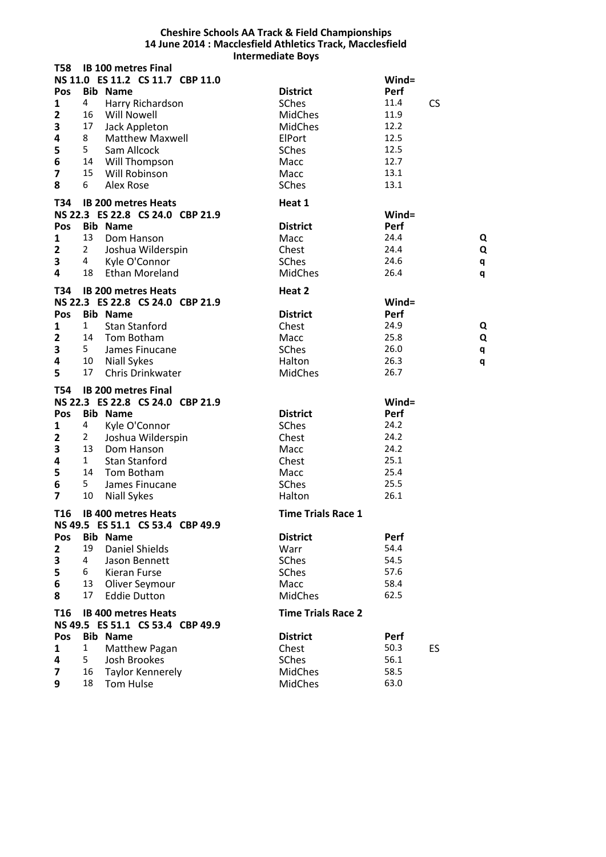## **Cheshire Schools AA Track & Field Championships 14 June 2014 : Macclesfield Athletics Track, Macclesfield Intermediate Boys**

| <b>T58</b>                                                                                    |                                               | <b>IB 100 metres Final</b>                                                                                                                                                                                | <b>IIILLIIILUIULLUVYJ</b>                                                                                       |                                                                                  |                  |
|-----------------------------------------------------------------------------------------------|-----------------------------------------------|-----------------------------------------------------------------------------------------------------------------------------------------------------------------------------------------------------------|-----------------------------------------------------------------------------------------------------------------|----------------------------------------------------------------------------------|------------------|
| Pos<br>1<br>$\overline{\mathbf{2}}$<br>3<br>4<br>5<br>$\bf 6$<br>$\overline{\mathbf{z}}$<br>8 | 4<br>16<br>17<br>8<br>5<br>15<br>6            | NS 11.0 ES 11.2 CS 11.7 CBP 11.0<br><b>Bib Name</b><br>Harry Richardson<br><b>Will Nowell</b><br>Jack Appleton<br><b>Matthew Maxwell</b><br>Sam Allcock<br>14 Will Thompson<br>Will Robinson<br>Alex Rose | <b>District</b><br><b>SChes</b><br><b>MidChes</b><br><b>MidChes</b><br>ElPort<br>SChes<br>Macc<br>Macc<br>SChes | $Wind =$<br>Perf<br>11.4<br>11.9<br>12.2<br>12.5<br>12.5<br>12.7<br>13.1<br>13.1 | <b>CS</b>        |
| T34                                                                                           |                                               | <b>IB 200 metres Heats</b>                                                                                                                                                                                | Heat 1                                                                                                          |                                                                                  |                  |
| Pos<br>1<br>$\overline{2}$<br>3<br>4                                                          | 13<br>$\mathbf{2}$<br>4<br>18                 | NS 22.3 ES 22.8 CS 24.0 CBP 21.9<br><b>Bib Name</b><br>Dom Hanson<br>Joshua Wilderspin<br>Kyle O'Connor<br><b>Ethan Moreland</b>                                                                          | <b>District</b><br>Macc<br>Chest<br><b>SChes</b><br><b>MidChes</b>                                              | Wind=<br>Perf<br>24.4<br>24.4<br>24.6<br>26.4                                    | Q<br>Q<br>q<br>q |
| T34                                                                                           |                                               | <b>IB 200 metres Heats</b>                                                                                                                                                                                | Heat 2                                                                                                          |                                                                                  |                  |
| Pos<br>1<br>$\overline{2}$<br>3<br>4<br>5                                                     | $\mathbf{1}$<br>5<br>10<br>17                 | NS 22.3 ES 22.8 CS 24.0 CBP 21.9<br><b>Bib Name</b><br><b>Stan Stanford</b><br>14 Tom Botham<br>James Finucane<br><b>Niall Sykes</b><br>Chris Drinkwater                                                  | <b>District</b><br>Chest<br>Macc<br>SChes<br>Halton<br><b>MidChes</b>                                           | Wind=<br>Perf<br>24.9<br>25.8<br>26.0<br>26.3<br>26.7                            | Q<br>Q<br>q<br>q |
| <b>T54</b>                                                                                    |                                               | <b>IB 200 metres Final</b>                                                                                                                                                                                |                                                                                                                 |                                                                                  |                  |
| Pos<br>1<br>$\mathbf{2}$<br>3<br>4<br>5<br>6<br>$\overline{7}$                                | 4<br>2<br>13<br>$\mathbf{1}$<br>14<br>5<br>10 | NS 22.3 ES 22.8 CS 24.0 CBP 21.9<br><b>Bib Name</b><br>Kyle O'Connor<br>Joshua Wilderspin<br>Dom Hanson<br><b>Stan Stanford</b><br>Tom Botham<br>James Finucane<br><b>Niall Sykes</b>                     | <b>District</b><br>SChes<br>Chest<br>Macc<br>Chest<br>Macc<br>SChes<br>Halton                                   | Wind=<br>Perf<br>24.2<br>24.2<br>24.2<br>25.1<br>25.4<br>25.5<br>26.1            |                  |
| T <sub>16</sub>                                                                               |                                               | <b>IB 400 metres Heats</b>                                                                                                                                                                                | <b>Time Trials Race 1</b>                                                                                       |                                                                                  |                  |
| Pos<br>$\overline{2}$<br>3<br>5<br>$\bf 6$<br>8                                               | 19<br>4<br>6<br>13<br>17                      | NS 49.5 ES 51.1 CS 53.4 CBP 49.9<br><b>Bib Name</b><br><b>Daniel Shields</b><br>Jason Bennett<br>Kieran Furse<br>Oliver Seymour<br><b>Eddie Dutton</b>                                                    | <b>District</b><br>Warr<br>SChes<br><b>SChes</b><br>Macc<br><b>MidChes</b>                                      | Perf<br>54.4<br>54.5<br>57.6<br>58.4<br>62.5                                     |                  |
| T16                                                                                           |                                               | <b>IB 400 metres Heats</b>                                                                                                                                                                                | <b>Time Trials Race 2</b>                                                                                       |                                                                                  |                  |
| Pos<br>1<br>4<br>$\overline{7}$<br>9                                                          | $\mathbf{1}$<br>5<br>16<br>18                 | NS 49.5 ES 51.1 CS 53.4 CBP 49.9<br><b>Bib Name</b><br>Matthew Pagan<br>Josh Brookes<br>Taylor Kennerely<br>Tom Hulse                                                                                     | <b>District</b><br>Chest<br>SChes<br><b>MidChes</b><br><b>MidChes</b>                                           | Perf<br>50.3<br>56.1<br>58.5<br>63.0                                             | ES               |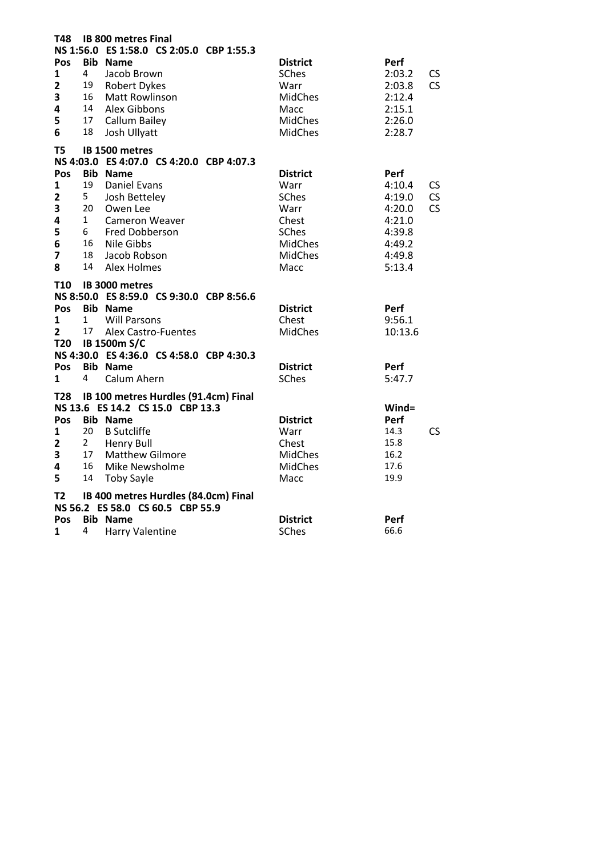| <b>T48</b>                                              |                                 | <b>IB 800 metres Final</b>                                                                                                      |                                                                                                       |                                                                  |          |
|---------------------------------------------------------|---------------------------------|---------------------------------------------------------------------------------------------------------------------------------|-------------------------------------------------------------------------------------------------------|------------------------------------------------------------------|----------|
|                                                         |                                 | NS 1:56.0 ES 1:58.0 CS 2:05.0 CBP 1:55.3                                                                                        |                                                                                                       |                                                                  |          |
| Pos<br>1<br>$\overline{\mathbf{c}}$<br>3<br>4<br>5<br>6 | 4<br>19<br>16<br>14<br>17<br>18 | <b>Bib Name</b><br>Jacob Brown<br><b>Robert Dykes</b><br><b>Matt Rowlinson</b><br>Alex Gibbons<br>Callum Bailey<br>Josh Ullyatt | <b>District</b><br><b>SChes</b><br>Warr<br><b>MidChes</b><br>Macc<br><b>MidChes</b><br><b>MidChes</b> | Perf<br>2:03.2<br>2:03.8<br>2:12.4<br>2:15.1<br>2:26.0<br>2:28.7 | CS<br>CS |
| T5                                                      |                                 | IB 1500 metres                                                                                                                  |                                                                                                       |                                                                  |          |
|                                                         |                                 | NS 4:03.0 ES 4:07.0 CS 4:20.0 CBP 4:07.3                                                                                        |                                                                                                       |                                                                  |          |
| Pos                                                     |                                 | <b>Bib Name</b>                                                                                                                 | <b>District</b>                                                                                       | Perf                                                             |          |
| $\mathbf{1}$                                            | 19                              | <b>Daniel Evans</b>                                                                                                             | Warr                                                                                                  | 4:10.4                                                           | CS       |
| $\mathbf{2}$                                            | 5                               | Josh Betteley                                                                                                                   | <b>SChes</b>                                                                                          | 4:19.0                                                           | CS       |
| 3                                                       | 20                              | Owen Lee                                                                                                                        | Warr                                                                                                  | 4:20.0                                                           | CS       |
| 4                                                       | $\mathbf{1}$                    | Cameron Weaver                                                                                                                  | Chest                                                                                                 | 4:21.0                                                           |          |
| 5                                                       | 6                               | Fred Dobberson                                                                                                                  | SChes                                                                                                 | 4:39.8                                                           |          |
| 6                                                       | 16                              | Nile Gibbs                                                                                                                      | <b>MidChes</b>                                                                                        | 4:49.2                                                           |          |
| $\overline{\mathbf{z}}$                                 | 18                              | Jacob Robson                                                                                                                    | <b>MidChes</b>                                                                                        | 4:49.8                                                           |          |
| 8                                                       | 14                              | <b>Alex Holmes</b>                                                                                                              | Macc                                                                                                  | 5:13.4                                                           |          |
| T10                                                     |                                 | IB 3000 metres                                                                                                                  |                                                                                                       |                                                                  |          |
|                                                         |                                 | NS 8:50.0 ES 8:59.0 CS 9:30.0 CBP 8:56.6                                                                                        |                                                                                                       |                                                                  |          |
| <b>Pos</b>                                              |                                 | <b>Bib Name</b>                                                                                                                 | <b>District</b>                                                                                       | Perf                                                             |          |
| $\mathbf{1}$                                            | 1                               | <b>Will Parsons</b>                                                                                                             | Chest                                                                                                 | 9:56.1                                                           |          |
| $\mathbf{2}$                                            | 17                              | Alex Castro-Fuentes                                                                                                             | <b>MidChes</b>                                                                                        | 10:13.6                                                          |          |
| <b>T20</b>                                              |                                 | <b>IB 1500m S/C</b>                                                                                                             |                                                                                                       |                                                                  |          |
|                                                         |                                 | NS 4:30.0 ES 4:36.0 CS 4:58.0 CBP 4:30.3                                                                                        |                                                                                                       |                                                                  |          |
| <b>Pos</b>                                              |                                 | <b>Bib Name</b>                                                                                                                 | <b>District</b>                                                                                       | Perf                                                             |          |
| 1                                                       | 4                               | Calum Ahern                                                                                                                     | <b>SChes</b>                                                                                          | 5:47.7                                                           |          |
| T28                                                     |                                 | IB 100 metres Hurdles (91.4cm) Final                                                                                            |                                                                                                       |                                                                  |          |
|                                                         |                                 | NS 13.6 ES 14.2 CS 15.0 CBP 13.3                                                                                                |                                                                                                       | $Wind =$                                                         |          |
| Pos                                                     |                                 | <b>Bib Name</b>                                                                                                                 | <b>District</b>                                                                                       | Perf                                                             |          |
| 1                                                       | 20                              | <b>B</b> Sutcliffe                                                                                                              | Warr                                                                                                  | 14.3                                                             | CS       |
| $\mathbf{2}$                                            | $\overline{2}$                  | <b>Henry Bull</b>                                                                                                               | Chest                                                                                                 | 15.8                                                             |          |
| 3                                                       | 17                              | <b>Matthew Gilmore</b>                                                                                                          | <b>MidChes</b>                                                                                        | 16.2                                                             |          |
| 4                                                       | 16                              | Mike Newsholme                                                                                                                  | <b>MidChes</b>                                                                                        | 17.6                                                             |          |
| 5                                                       | 14                              | <b>Toby Sayle</b>                                                                                                               | Macc                                                                                                  | 19.9                                                             |          |
| <b>T2</b>                                               |                                 | IB 400 metres Hurdles (84.0cm) Final                                                                                            |                                                                                                       |                                                                  |          |
|                                                         |                                 | NS 56.2 ES 58.0 CS 60.5 CBP 55.9                                                                                                |                                                                                                       |                                                                  |          |
| <b>Pos</b>                                              |                                 | <b>Bib Name</b>                                                                                                                 | <b>District</b>                                                                                       | Perf                                                             |          |
| 1                                                       | 4                               | <b>Harry Valentine</b>                                                                                                          | <b>SChes</b>                                                                                          | 66.6                                                             |          |
|                                                         |                                 |                                                                                                                                 |                                                                                                       |                                                                  |          |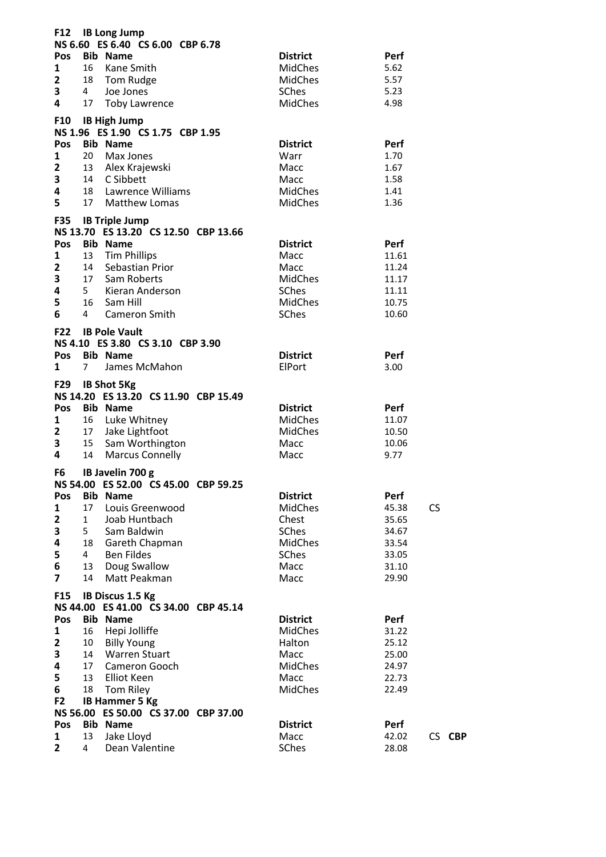| F12                     |                 | <b>IB Long Jump</b><br>NS 6.60 ES 6.40 CS 6.00 CBP 6.78    |                 |                    |
|-------------------------|-----------------|------------------------------------------------------------|-----------------|--------------------|
| Pos                     |                 | <b>Bib Name</b>                                            | <b>District</b> | Perf               |
| 1                       | 16              | Kane Smith                                                 | <b>MidChes</b>  | 5.62               |
| $\mathbf{2}$            |                 | 18 Tom Rudge                                               | MidChes         | 5.57               |
| 3                       | $4\overline{ }$ | Joe Jones                                                  | <b>SChes</b>    | 5.23               |
| 4                       |                 | 17 Toby Lawrence                                           | <b>MidChes</b>  | 4.98               |
| F10                     |                 | <b>IB High Jump</b><br>NS 1.96 ES 1.90 CS 1.75 CBP 1.95    |                 |                    |
| Pos                     |                 | <b>Bib Name</b>                                            | <b>District</b> | Perf               |
| $\mathbf{1}$            | 20              | Max Jones                                                  | Warr            | 1.70               |
| $\overline{\mathbf{2}}$ |                 | 13 Alex Krajewski                                          | Macc            | 1.67               |
| 3                       |                 | 14 C Sibbett                                               | Macc            | 1.58               |
| 4                       |                 | 18 Lawrence Williams                                       | MidChes         | 1.41               |
| 5                       |                 | 17 Matthew Lomas                                           | <b>MidChes</b>  | 1.36               |
|                         |                 | F35 IB Triple Jump<br>NS 13.70 ES 13.20 CS 12.50 CBP 13.66 |                 |                    |
| Pos                     |                 | <b>Bib Name</b>                                            | <b>District</b> | Perf               |
| 1                       |                 | 13 Tim Phillips                                            | Macc            | 11.61              |
| $\mathbf{2}$            |                 | 14 Sebastian Prior                                         | Macc            | 11.24              |
| 3                       |                 | 17 Sam Roberts                                             | MidChes         | 11.17              |
| 4                       |                 | 5 Kieran Anderson                                          | SChes           | 11.11              |
| 5                       |                 | 16 Sam Hill                                                | MidChes         | 10.75              |
| 6                       | 4               | Cameron Smith                                              | SChes           | 10.60              |
| <b>F22</b>              |                 | <b>IB Pole Vault</b>                                       |                 |                    |
|                         |                 | NS 4.10 ES 3.80 CS 3.10 CBP 3.90                           |                 |                    |
| Pos                     |                 | <b>Bib Name</b>                                            | <b>District</b> | Perf               |
| $\mathbf{1}$            | 7               | James McMahon                                              | ElPort          | 3.00               |
| F29                     |                 | <b>IB Shot 5Kg</b><br>NS 14.20 ES 13.20 CS 11.90 CBP 15.49 |                 |                    |
| <b>Pos</b>              |                 | <b>Bib Name</b>                                            | <b>District</b> | Perf               |
| 1                       |                 | 16 Luke Whitney                                            | MidChes         | 11.07              |
| $\mathbf{2}$            |                 | 17 Jake Lightfoot                                          | <b>MidChes</b>  | 10.50              |
| 3                       |                 | 15 Sam Worthington                                         | Macc            | 10.06              |
| 4                       | 14              | <b>Marcus Connelly</b>                                     | Macc            | 9.77               |
| F6                      |                 | IB Javelin 700 g<br>NS 54.00 ES 52.00 CS 45.00 CBP 59.25   |                 |                    |
| Pos                     |                 | <b>Bib Name</b>                                            | <b>District</b> | Perf               |
| 1                       | 17              | Louis Greenwood                                            | <b>MidChes</b>  | <b>CS</b><br>45.38 |
| $\mathbf{2}$            | $\mathbf{1}$    | Joab Huntbach                                              | Chest           | 35.65              |
| 3                       | 5               | Sam Baldwin                                                | SChes           | 34.67              |
| 4                       | 18              | Gareth Chapman                                             | <b>MidChes</b>  | 33.54              |
| 5                       | 4               | <b>Ben Fildes</b>                                          | SChes           | 33.05              |
| 6                       | 13              | Doug Swallow                                               | Macc            | 31.10              |
| $\overline{\mathbf{z}}$ | 14              | Matt Peakman                                               | Macc            | 29.90              |
| F <sub>15</sub>         |                 | IB Discus 1.5 Kg                                           |                 |                    |
|                         |                 | NS 44.00 ES 41.00 CS 34.00 CBP 45.14                       |                 |                    |
| Pos                     |                 | <b>Bib Name</b>                                            | <b>District</b> | Perf               |
| 1                       | 16              | Hepi Jolliffe                                              | <b>MidChes</b>  | 31.22              |
| 2                       | 10              | <b>Billy Young</b>                                         | Halton          | 25.12              |
| 3                       | 14              | <b>Warren Stuart</b>                                       | Macc            | 25.00              |
| 4                       | 17              | Cameron Gooch                                              | <b>MidChes</b>  | 24.97              |
| 5                       | 13              | Elliot Keen                                                | Macc            | 22.73              |
| 6                       | 18              | Tom Riley                                                  | <b>MidChes</b>  | 22.49              |
| F <sub>2</sub>          |                 | <b>IB Hammer 5 Kg</b>                                      |                 |                    |
|                         |                 | NS 56.00 ES 50.00 CS 37.00 CBP 37.00                       |                 |                    |
| Pos                     |                 | <b>Bib Name</b>                                            | <b>District</b> | Perf               |
| 1                       | 13              | Jake Lloyd                                                 | Macc            | 42.02<br>CS CBP    |
| $\mathbf{2}$            | $\overline{4}$  | Dean Valentine                                             | SChes           | 28.08              |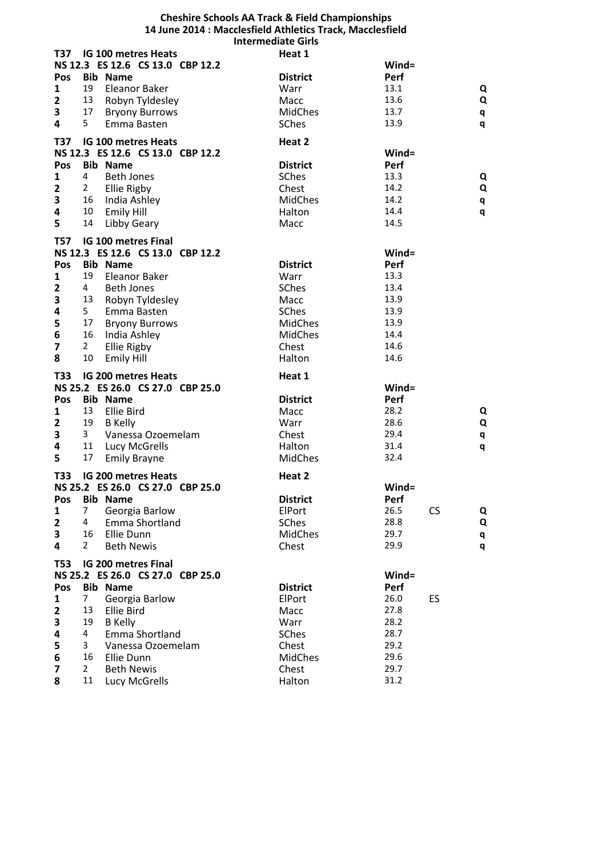## **Cheshire Schools AA Track & Field Championships 14 June 2014 : Macclesfield Athletics Track, Macclesfield Intermediate Girls**

| T37                          | <b>IG 100 metres Heats</b>               |                                  | Heat 1          |              |         |  |
|------------------------------|------------------------------------------|----------------------------------|-----------------|--------------|---------|--|
|                              |                                          | NS 12.3 ES 12.6 CS 13.0 CBP 12.2 |                 | Wind=        |         |  |
| Pos                          | <b>Bib Name</b>                          |                                  | <b>District</b> | Perf         |         |  |
| 1                            | 19<br>Eleanor Baker                      |                                  | Warr            | 13.1         | Q       |  |
| $\mathbf{2}$                 | 13                                       | Robyn Tyldesley                  | Macc            | 13.6         | Q       |  |
| 3                            | 17                                       | <b>Bryony Burrows</b>            | <b>MidChes</b>  | 13.7         | q       |  |
| 4                            | 5<br>Emma Basten                         |                                  | SChes           | 13.9         | q       |  |
|                              |                                          |                                  |                 |              |         |  |
| <b>T37</b>                   | <b>IG 100 metres Heats</b>               |                                  | Heat 2          |              |         |  |
|                              |                                          | NS 12.3 ES 12.6 CS 13.0 CBP 12.2 |                 | Wind=        |         |  |
| Pos                          | <b>Bib Name</b>                          |                                  | <b>District</b> | Perf         |         |  |
| $\mathbf{1}$                 | $\overline{4}$<br><b>Beth Jones</b>      |                                  | SChes           | 13.3         | Q       |  |
| $\mathbf{2}$                 | Ellie Rigby<br>$\mathbf{2}$              |                                  | Chest           | 14.2         | Q       |  |
| 3                            | 16 India Ashley                          |                                  | <b>MidChes</b>  | 14.2         | q       |  |
| 4                            | 10<br><b>Emily Hill</b>                  |                                  | Halton          | 14.4         | q       |  |
| 5                            | 14<br>Libby Geary                        |                                  | Macc            | 14.5         |         |  |
| <b>T57</b>                   | <b>IG 100 metres Final</b>               |                                  |                 |              |         |  |
|                              |                                          | NS 12.3 ES 12.6 CS 13.0 CBP 12.2 |                 | Wind=        |         |  |
| Pos                          | <b>Bib Name</b>                          |                                  | <b>District</b> | Perf         |         |  |
| 1                            | 19<br>Eleanor Baker                      |                                  | Warr            | 13.3         |         |  |
|                              | <b>Beth Jones</b><br>4                   |                                  |                 | 13.4         |         |  |
| $\mathbf{2}$                 | 13                                       |                                  | SChes           | 13.9         |         |  |
| 3                            |                                          | Robyn Tyldesley                  | Macc            |              |         |  |
| 4                            | 5<br>Emma Basten                         |                                  | SChes           | 13.9         |         |  |
| 5                            | 17<br>16                                 | <b>Bryony Burrows</b>            | <b>MidChes</b>  | 13.9<br>14.4 |         |  |
| 6                            | India Ashley                             |                                  | MidChes         |              |         |  |
| 7                            | $\overline{2}$<br>Ellie Rigby            |                                  | Chest           | 14.6         |         |  |
| 8                            | 10<br><b>Emily Hill</b>                  |                                  | Halton          | 14.6         |         |  |
| T33                          | <b>IG 200 metres Heats</b>               |                                  | Heat 1          |              |         |  |
|                              |                                          | NS 25.2 ES 26.0 CS 27.0 CBP 25.0 |                 | $Wind =$     |         |  |
| Pos                          | <b>Bib Name</b>                          |                                  | <b>District</b> | Perf         |         |  |
| 1                            | 13<br>Ellie Bird                         |                                  | Macc            | 28.2         | Q       |  |
| $\mathbf{2}$                 | 19<br><b>B</b> Kelly                     |                                  | Warr            | 28.6         | Q       |  |
| 3                            | 3                                        | Vanessa Ozoemelam                | Chest           | 29.4         | q       |  |
| 4                            | 11<br><b>Lucy McGrells</b>               |                                  | Halton          | 31.4         | q       |  |
| 5                            | 17<br><b>Emily Brayne</b>                |                                  | <b>MidChes</b>  |              |         |  |
|                              |                                          |                                  |                 | 32.4         |         |  |
|                              |                                          |                                  |                 |              |         |  |
| T33                          | <b>IG 200 metres Heats</b>               |                                  | Heat 2          |              |         |  |
|                              |                                          | NS 25.2 ES 26.0 CS 27.0 CBP 25.0 |                 | Wind=        |         |  |
| Pos                          | <b>Bib Name</b>                          |                                  | <b>District</b> | Perf         |         |  |
| 1                            | 7                                        | Georgia Barlow                   | ElPort          | 26.5         | CS<br>Q |  |
| $\mathbf{2}$                 | 4                                        | Emma Shortland                   | SChes           | 28.8         | Q       |  |
| 3                            | 16<br>Ellie Dunn                         |                                  | MidChes         | 29.7         | q       |  |
| 4                            | 2<br><b>Beth Newis</b>                   |                                  | Chest           | 29.9         | q       |  |
| <b>T53</b>                   | IG 200 metres Final                      |                                  |                 |              |         |  |
|                              |                                          | NS 25.2 ES 26.0 CS 27.0 CBP 25.0 |                 | $Wind =$     |         |  |
| Pos                          | <b>Bib Name</b>                          |                                  | <b>District</b> | Perf         |         |  |
| 1                            | $\overline{7}$                           | Georgia Barlow                   | ElPort          | 26.0         | ES      |  |
| $\overline{\mathbf{2}}$      | Ellie Bird<br>13                         |                                  | Macc            | 27.8         |         |  |
|                              | 19<br><b>B</b> Kelly                     |                                  | Warr            | 28.2         |         |  |
| 3<br>4                       | 4                                        | Emma Shortland                   | SChes           | 28.7         |         |  |
|                              | 3                                        |                                  |                 | 29.2         |         |  |
| 5                            | 16                                       | Vanessa Ozoemelam                | Chest           | 29.6         |         |  |
| 6<br>$\overline{\mathbf{z}}$ | Ellie Dunn<br>$\overline{2}$             |                                  | MidChes         | 29.7         |         |  |
| 8                            | <b>Beth Newis</b><br>11<br>Lucy McGrells |                                  | Chest<br>Halton | 31.2         |         |  |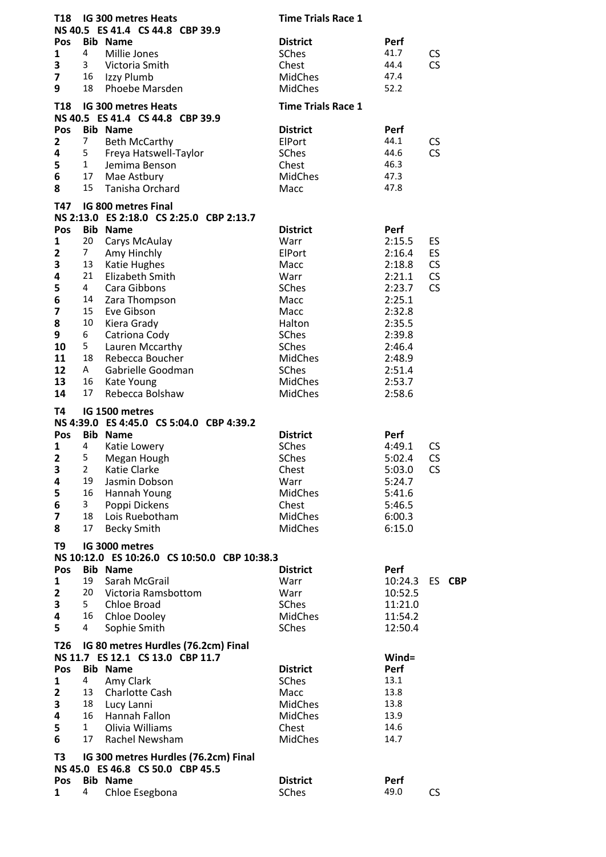| T18                     |                         | IG 300 metres Heats<br>NS 40.5 ES 41.4 CS 44.8 CBP 39.9 | <b>Time Trials Race 1</b>       |                  |                 |
|-------------------------|-------------------------|---------------------------------------------------------|---------------------------------|------------------|-----------------|
| Pos                     |                         | <b>Bib Name</b>                                         | <b>District</b>                 | Perf             |                 |
| 1                       | 4                       | Millie Jones                                            | SChes                           | 41.7             | CS              |
| 3                       | 3                       | Victoria Smith                                          | Chest                           | 44.4             | <b>CS</b>       |
| 7                       | 16                      | Izzy Plumb                                              | MidChes                         | 47.4             |                 |
| 9                       | 18                      | Phoebe Marsden                                          | <b>MidChes</b>                  | 52.2             |                 |
| <b>T18</b>              |                         | IG 300 metres Heats<br>NS 40.5 ES 41.4 CS 44.8 CBP 39.9 | <b>Time Trials Race 1</b>       |                  |                 |
| Pos                     |                         | <b>Bib Name</b>                                         | <b>District</b>                 | Perf             |                 |
| $\mathbf{2}$            | 7                       | <b>Beth McCarthy</b>                                    | ElPort                          | 44.1             | CS              |
| 4                       | 5 <sub>1</sub>          | Freya Hatswell-Taylor                                   | SChes                           | 44.6             | <b>CS</b>       |
| 5                       | $\mathbf{1}$            | Jemima Benson                                           | Chest                           | 46.3             |                 |
| 6                       | 17                      | Mae Astbury                                             | <b>MidChes</b>                  | 47.3             |                 |
| 8                       | 15                      | Tanisha Orchard                                         | Macc                            | 47.8             |                 |
| T47                     |                         | IG 800 metres Final                                     |                                 |                  |                 |
|                         |                         | NS 2:13.0 ES 2:18.0 CS 2:25.0 CBP 2:13.7                |                                 |                  |                 |
| Pos                     |                         | <b>Bib Name</b>                                         | <b>District</b>                 | Perf             |                 |
| 1                       | 20                      | Carys McAulay                                           | Warr                            | 2:15.5           | ES              |
| 2                       | 7 <sup>7</sup>          | Amy Hinchly                                             | ElPort                          | 2:16.4           | ES              |
| 3                       | 13                      | Katie Hughes                                            | Macc                            | 2:18.8           | <b>CS</b>       |
| 4                       | 21                      | <b>Elizabeth Smith</b>                                  | Warr                            | 2:21.1           | <b>CS</b>       |
| 5                       | $\overline{4}$          | Cara Gibbons                                            | SChes                           | 2:23.7           | <b>CS</b>       |
| 6                       | 14                      | Zara Thompson                                           | Macc                            | 2:25.1           |                 |
| $\overline{\mathbf{z}}$ | 15                      | Eve Gibson                                              | Macc                            | 2:32.8           |                 |
| 8                       | 10                      | Kiera Grady                                             | Halton                          | 2:35.5           |                 |
| 9                       | 6                       | Catriona Cody                                           | SChes                           | 2:39.8           |                 |
| 10                      | 5                       | Lauren Mccarthy                                         | SChes                           | 2:46.4           |                 |
| 11<br>12                | 18<br>A                 | Rebecca Boucher<br>Gabrielle Goodman                    | <b>MidChes</b><br>SChes         | 2:48.9           |                 |
| 13                      | 16                      | Kate Young                                              | <b>MidChes</b>                  | 2:51.4<br>2:53.7 |                 |
| 14                      | 17                      | Rebecca Bolshaw                                         | <b>MidChes</b>                  | 2:58.6           |                 |
|                         |                         | IG 1500 metres                                          |                                 |                  |                 |
|                         |                         |                                                         |                                 |                  |                 |
| T4                      |                         |                                                         |                                 |                  |                 |
|                         |                         | NS 4:39.0 ES 4:45.0 CS 5:04.0 CBP 4:39.2                |                                 |                  |                 |
| Pos                     | 4                       | <b>Bib Name</b>                                         | <b>District</b>                 | Perf             |                 |
| 1<br>$\overline{2}$     | 5                       | Katie Lowery                                            | <b>SChes</b><br>SChes           | 4:49.1<br>5:02.4 | <b>CS</b><br>CS |
|                         | 2                       | Megan Hough<br>Katie Clarke                             | Chest                           |                  | <b>CS</b>       |
| З<br>4                  | 19                      | Jasmin Dobson                                           | Warr                            | 5:03.0<br>5:24.7 |                 |
| 5                       | 16                      | Hannah Young                                            | <b>MidChes</b>                  | 5:41.6           |                 |
| 6                       | $\overline{\mathbf{3}}$ | Poppi Dickens                                           | Chest                           | 5:46.5           |                 |
| 7                       | 18                      | Lois Ruebotham                                          | <b>MidChes</b>                  | 6:00.3           |                 |
| 8                       | 17                      | <b>Becky Smith</b>                                      | <b>MidChes</b>                  | 6:15.0           |                 |
| T9                      |                         | IG 3000 metres                                          |                                 |                  |                 |
|                         |                         | NS 10:12.0 ES 10:26.0 CS 10:50.0 CBP 10:38.3            |                                 |                  |                 |
| Pos                     |                         | <b>Bib Name</b>                                         | <b>District</b>                 | Perf             |                 |
| 1                       | 19                      | Sarah McGrail                                           | Warr                            | 10:24.3          | ES CBP          |
| $\mathbf{2}$            | 20                      | Victoria Ramsbottom                                     | Warr                            | 10:52.5          |                 |
| 3                       | 5                       | Chloe Broad                                             | SChes                           | 11:21.0          |                 |
| 4                       | 16                      | Chloe Dooley                                            | <b>MidChes</b>                  | 11:54.2          |                 |
| 5                       | 4                       | Sophie Smith                                            | SChes                           | 12:50.4          |                 |
| T26                     |                         | IG 80 metres Hurdles (76.2cm) Final                     |                                 |                  |                 |
|                         |                         | NS 11.7 ES 12.1 CS 13.0 CBP 11.7<br><b>Bib Name</b>     |                                 | Wind=<br>Perf    |                 |
| Pos<br>$\mathbf 1$      | 4                       | Amy Clark                                               | <b>District</b><br><b>SChes</b> | 13.1             |                 |
|                         | 13                      | Charlotte Cash                                          | Macc                            | 13.8             |                 |
| $\mathbf{2}$<br>3       | 18                      | Lucy Lanni                                              | <b>MidChes</b>                  | 13.8             |                 |
| 4                       | 16                      | Hannah Fallon                                           | <b>MidChes</b>                  | 13.9             |                 |
| 5                       | $\mathbf{1}$            | Olivia Williams                                         | Chest                           | 14.6             |                 |
| 6                       | 17                      | Rachel Newsham                                          | <b>MidChes</b>                  | 14.7             |                 |
| T3                      |                         | IG 300 metres Hurdles (76.2cm) Final                    |                                 |                  |                 |
|                         |                         | NS 45.0 ES 46.8 CS 50.0 CBP 45.5                        |                                 |                  |                 |
| Pos<br>1                | 4                       | <b>Bib Name</b><br>Chloe Esegbona                       | <b>District</b><br>SChes        | Perf<br>49.0     | <b>CS</b>       |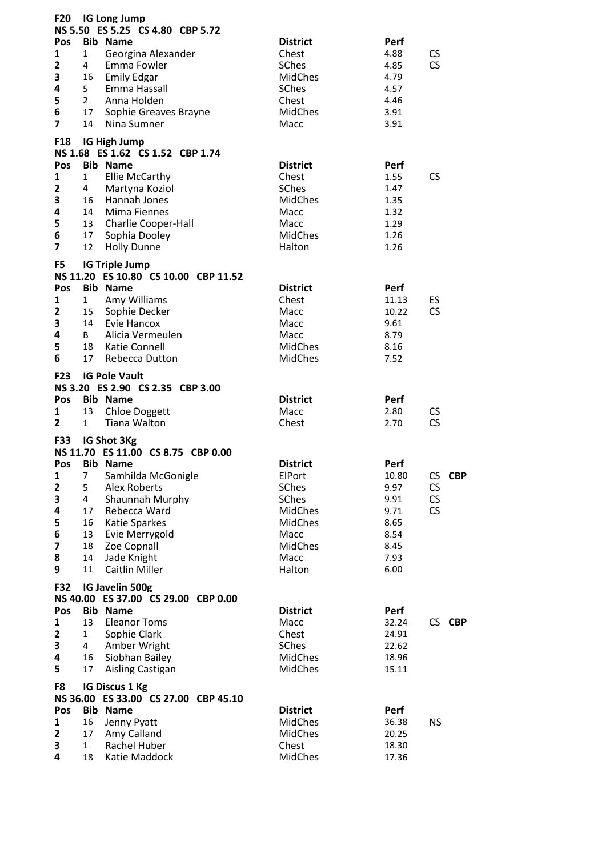| <b>F20</b><br>Pos       |                | <b>IG Long Jump</b><br>NS 5.50 ES 5.25 CS 4.80 CBP 5.72<br><b>Bib Name</b> | <b>District</b>                   | Perf          |                          |
|-------------------------|----------------|----------------------------------------------------------------------------|-----------------------------------|---------------|--------------------------|
| 1                       | 1              | Georgina Alexander                                                         | Chest                             | 4.88          | <b>CS</b>                |
| 2                       | 4              | Emma Fowler                                                                | <b>SChes</b>                      | 4.85          | CS                       |
| 3                       | 16             | <b>Emily Edgar</b>                                                         | <b>MidChes</b>                    | 4.79          |                          |
| 4                       | 5 <sub>1</sub> | Emma Hassall                                                               | SChes                             | 4.57          |                          |
| 5                       | $\overline{2}$ | Anna Holden                                                                | Chest                             | 4.46          |                          |
| 6                       | 17             | Sophie Greaves Brayne                                                      | MidChes                           | 3.91          |                          |
| $\overline{\mathbf{z}}$ | 14             | Nina Sumner                                                                | Macc                              | 3.91          |                          |
| F18                     |                | IG High Jump<br>NS 1.68 ES 1.62 CS 1.52 CBP 1.74                           |                                   |               |                          |
| Pos                     |                | <b>Bib Name</b>                                                            | <b>District</b>                   | Perf          |                          |
| $\mathbf{1}$            | $\mathbf{1}$   | <b>Ellie McCarthy</b>                                                      | Chest                             | 1.55          | <b>CS</b>                |
| $\overline{\mathbf{2}}$ | 4              | Martyna Koziol                                                             | SChes                             | 1.47          |                          |
| 3                       | 16             | Hannah Jones                                                               | <b>MidChes</b>                    | 1.35          |                          |
| 4                       | 14             | Mima Fiennes                                                               | Macc                              | 1.32          |                          |
| 5<br>6                  | 13             | <b>Charlie Cooper-Hall</b>                                                 | Macc<br><b>MidChes</b>            | 1.29          |                          |
| $\overline{\mathbf{z}}$ | 17<br>12       | Sophia Dooley<br><b>Holly Dunne</b>                                        | Halton                            | 1.26<br>1.26  |                          |
|                         |                |                                                                            |                                   |               |                          |
| F5                      |                | <b>IG Triple Jump</b>                                                      |                                   |               |                          |
|                         |                | NS 11.20 ES 10.80 CS 10.00 CBP 11.52                                       |                                   |               |                          |
| Pos                     |                | <b>Bib Name</b>                                                            | <b>District</b>                   | Perf          |                          |
| 1                       | $1\quad$       | Amy Williams                                                               | Chest                             | 11.13         | ES<br>CS                 |
| $\mathbf{2}$            | 15<br>14       | Sophie Decker                                                              | Macc<br>Macc                      | 10.22         |                          |
| 3<br>4                  | B              | Evie Hancox<br>Alicia Vermeulen                                            | Macc                              | 9.61<br>8.79  |                          |
| 5                       | 18             | Katie Connell                                                              | <b>MidChes</b>                    | 8.16          |                          |
| 6                       | 17             | Rebecca Dutton                                                             | <b>MidChes</b>                    | 7.52          |                          |
|                         |                |                                                                            |                                   |               |                          |
| <b>F23</b>              |                | <b>IG Pole Vault</b>                                                       |                                   |               |                          |
| Pos                     |                | NS 3.20 ES 2.90 CS 2.35 CBP 3.00<br><b>Bib Name</b>                        | <b>District</b>                   |               |                          |
| 1                       | 13             | <b>Chloe Doggett</b>                                                       | Macc                              | Perf<br>2.80  | <b>CS</b>                |
| $\overline{2}$          | $1 \quad$      | Tiana Walton                                                               | Chest                             | 2.70          | CS                       |
|                         |                |                                                                            |                                   |               |                          |
| <b>F33</b>              |                | IG Shot 3Kg                                                                |                                   |               |                          |
|                         |                | NS 11.70 ES 11.00 CS 8.75 CBP 0.00                                         |                                   |               |                          |
| Pos                     |                | <b>Bib Name</b>                                                            | <b>District</b><br>ElPort         | Perf          | CS CBP                   |
| 1<br>$\mathbf{2}$       | 7<br>5         | Samhilda McGonigle<br><b>Alex Roberts</b>                                  | SChes                             | 10.80<br>9.97 | $\mathsf{CS}\phantom{0}$ |
| 3                       | 4              | Shaunnah Murphy                                                            | SChes                             | 9.91          | CS                       |
| 4                       | 17             | Rebecca Ward                                                               | <b>MidChes</b>                    | 9.71          | <b>CS</b>                |
| 5                       | 16             | <b>Katie Sparkes</b>                                                       | <b>MidChes</b>                    | 8.65          |                          |
| 6                       | 13             | Evie Merrygold                                                             | Macc                              | 8.54          |                          |
| $\overline{\mathbf{z}}$ | 18             | Zoe Copnall                                                                | MidChes                           | 8.45          |                          |
| 8                       | 14             | Jade Knight                                                                | Macc                              | 7.93          |                          |
| 9                       | 11             | <b>Caitlin Miller</b>                                                      | Halton                            | 6.00          |                          |
| F32                     |                | IG Javelin 500g<br>NS 40.00 ES 37.00 CS 29.00 CBP 0.00                     |                                   |               |                          |
| Pos                     |                | <b>Bib Name</b>                                                            | <b>District</b>                   | Perf          |                          |
| 1                       | 13             | <b>Eleanor Toms</b>                                                        | Macc                              | 32.24         | CS CBP                   |
| $\mathbf{2}$            | $\mathbf{1}$   | Sophie Clark                                                               | Chest                             | 24.91         |                          |
| 3                       | $\overline{4}$ | Amber Wright                                                               | SChes                             | 22.62         |                          |
| 4                       | 16             | Siobhan Bailey                                                             | <b>MidChes</b>                    | 18.96         |                          |
| 5                       | 17             | Aisling Castigan                                                           | <b>MidChes</b>                    | 15.11         |                          |
| F8                      |                | <b>IG Discus 1 Kg</b><br>NS 36.00 ES 33.00 CS 27.00 CBP 45.10              |                                   |               |                          |
| Pos                     |                | <b>Bib Name</b>                                                            | <b>District</b><br><b>MidChes</b> | Perf<br>36.38 | <b>NS</b>                |
| 1<br>$\mathbf{2}$       | 16<br>17       | Jenny Pyatt<br>Amy Calland                                                 | <b>MidChes</b>                    | 20.25         |                          |
| 3                       | $\mathbf{1}$   | Rachel Huber                                                               | Chest                             | 18.30         |                          |
| 4                       | 18             | Katie Maddock                                                              | MidChes                           | 17.36         |                          |
|                         |                |                                                                            |                                   |               |                          |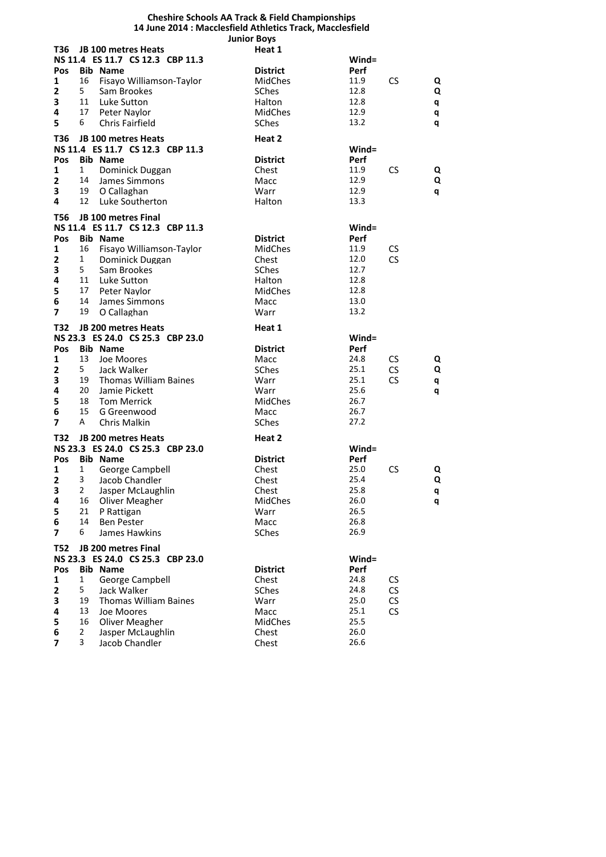|                            |                   |                                                     | <b>Cheshire Schools AA Track &amp; Field Championships</b> |                  |                        |        |
|----------------------------|-------------------|-----------------------------------------------------|------------------------------------------------------------|------------------|------------------------|--------|
|                            |                   |                                                     | 14 June 2014 : Macclesfield Athletics Track, Macclesfield  |                  |                        |        |
| T36                        |                   | JB 100 metres Heats                                 | <b>Junior Boys</b><br>Heat 1                               |                  |                        |        |
|                            |                   | NS 11.4 ES 11.7 CS 12.3 CBP 11.3                    |                                                            | $Wind =$         |                        |        |
| Pos                        |                   | <b>Bib Name</b>                                     | <b>District</b>                                            | Perf             |                        |        |
| 1                          | 16                | Fisayo Williamson-Taylor                            | <b>MidChes</b>                                             | 11.9             | <b>CS</b>              | Q      |
| $\overline{\mathbf{2}}$    | 5                 | Sam Brookes                                         | <b>SChes</b>                                               | 12.8             |                        | Q      |
| 3                          | 11                | Luke Sutton                                         | Halton                                                     | 12.8             |                        | q      |
| 4                          | 17                | Peter Naylor                                        | MidChes                                                    | 12.9             |                        | q      |
| 5                          | 6                 | <b>Chris Fairfield</b>                              | SChes                                                      | 13.2             |                        | q      |
|                            |                   |                                                     |                                                            |                  |                        |        |
| T36                        |                   | <b>JB 100 metres Heats</b>                          | Heat 2                                                     |                  |                        |        |
| <b>Pos</b>                 |                   | NS 11.4 ES 11.7 CS 12.3 CBP 11.3<br><b>Bib Name</b> | <b>District</b>                                            | $Wind =$<br>Perf |                        |        |
| $\mathbf{1}$               | $\mathbf{1}$      | Dominick Duggan                                     | Chest                                                      | 11.9             | <b>CS</b>              | Q      |
| $\mathbf{2}$               | 14                | James Simmons                                       | Macc                                                       | 12.9             |                        | Q      |
| 3                          | 19                | O Callaghan                                         | Warr                                                       | 12.9             |                        | q      |
| 4                          | 12                | Luke Southerton                                     | Halton                                                     | 13.3             |                        |        |
|                            |                   |                                                     |                                                            |                  |                        |        |
| <b>T56</b>                 |                   | <b>JB 100 metres Final</b>                          |                                                            |                  |                        |        |
|                            |                   | NS 11.4 ES 11.7 CS 12.3 CBP 11.3                    |                                                            | $Wind =$         |                        |        |
| Pos<br>$\mathbf{1}$        |                   | <b>Bib Name</b>                                     | <b>District</b>                                            | Perf<br>11.9     |                        |        |
| $\overline{\mathbf{2}}$    | 16<br>$\mathbf 1$ | Fisayo Williamson-Taylor                            | MidChes<br>Chest                                           | 12.0             | <b>CS</b><br><b>CS</b> |        |
| 3                          | 5                 | Dominick Duggan<br>Sam Brookes                      | <b>SChes</b>                                               | 12.7             |                        |        |
| 4                          | 11                | Luke Sutton                                         | <b>Halton</b>                                              | 12.8             |                        |        |
| 5                          | 17                | Peter Naylor                                        | <b>MidChes</b>                                             | 12.8             |                        |        |
| 6                          | 14                | James Simmons                                       | Macc                                                       | 13.0             |                        |        |
| $\overline{\mathbf{z}}$    | 19                | O Callaghan                                         | Warr                                                       | 13.2             |                        |        |
|                            |                   |                                                     |                                                            |                  |                        |        |
| T32                        |                   | <b>JB 200 metres Heats</b>                          | Heat 1                                                     |                  |                        |        |
|                            |                   | NS 23.3 ES 24.0 CS 25.3 CBP 23.0                    |                                                            | $Wind =$         |                        |        |
| <b>Pos</b><br>$\mathbf{1}$ | 13                | <b>Bib Name</b>                                     | <b>District</b>                                            | Perf             |                        |        |
| $\mathbf{2}$               | 5                 | Joe Moores<br>Jack Walker                           | Macc<br>SChes                                              | 24.8<br>25.1     | <b>CS</b>              | Q<br>Q |
| 3                          | 19                | <b>Thomas William Baines</b>                        | Warr                                                       | 25.1             | CS<br><b>CS</b>        | q      |
| 4                          | 20                | Jamie Pickett                                       | Warr                                                       | 25.6             |                        | q      |
| 5                          | 18                | <b>Tom Merrick</b>                                  | MidChes                                                    | 26.7             |                        |        |
| 6                          | 15                | G Greenwood                                         | Macc                                                       | 26.7             |                        |        |
| 7                          | A                 | Chris Malkin                                        | SChes                                                      | 27.2             |                        |        |
| T32                        |                   | <b>JB 200 metres Heats</b>                          | Heat 2                                                     |                  |                        |        |
|                            |                   | NS 23.3 ES 24.0 CS 25.3 CBP 23.0                    |                                                            | Wind=            |                        |        |
| <b>Pos</b>                 |                   | <b>Bib Name</b>                                     | <b>District</b>                                            | Perf             |                        |        |
| $1 \quad$                  |                   | 1 George Campbell                                   | Chest                                                      | 25.0             | <b>CS</b>              |        |
| 2                          | 3                 | Jacob Chandler                                      | Chest                                                      | 25.4             |                        | Q      |
| 3                          | $\mathbf{2}$      | Jasper McLaughlin                                   | Chest                                                      | 25.8             |                        | q      |
| 4                          | 16                | Oliver Meagher                                      | MidChes                                                    | 26.0             |                        | q      |
| 5                          | 21                | P Rattigan                                          | Warr                                                       | 26.5             |                        |        |
| 6                          | 14                | <b>Ben Pester</b>                                   | Macc                                                       | 26.8             |                        |        |
| 7                          | 6                 | James Hawkins                                       | SChes                                                      | 26.9             |                        |        |
| <b>T52</b>                 |                   | JB 200 metres Final                                 |                                                            |                  |                        |        |
|                            |                   | NS 23.3 ES 24.0 CS 25.3 CBP 23.0                    |                                                            | $Wind =$         |                        |        |
| Pos                        |                   | <b>Bib Name</b>                                     | <b>District</b>                                            | Perf             |                        |        |
| 1                          | 1                 | George Campbell                                     | Chest                                                      | 24.8             | <b>CS</b>              |        |
| 2                          | 5                 | Jack Walker                                         | <b>SChes</b>                                               | 24.8             | CS                     |        |
| 3                          | 19                | <b>Thomas William Baines</b>                        | Warr                                                       | 25.0             | CS                     |        |
| 4                          | 13                | Joe Moores                                          | Macc                                                       | 25.1             | <b>CS</b>              |        |
| 5                          | 16                | Oliver Meagher                                      | MidChes                                                    | 25.5             |                        |        |
| 6                          | 2                 | Jasper McLaughlin                                   | Chest                                                      | 26.0             |                        |        |
| 7                          | 3                 | Jacob Chandler                                      | Chest                                                      | 26.6             |                        |        |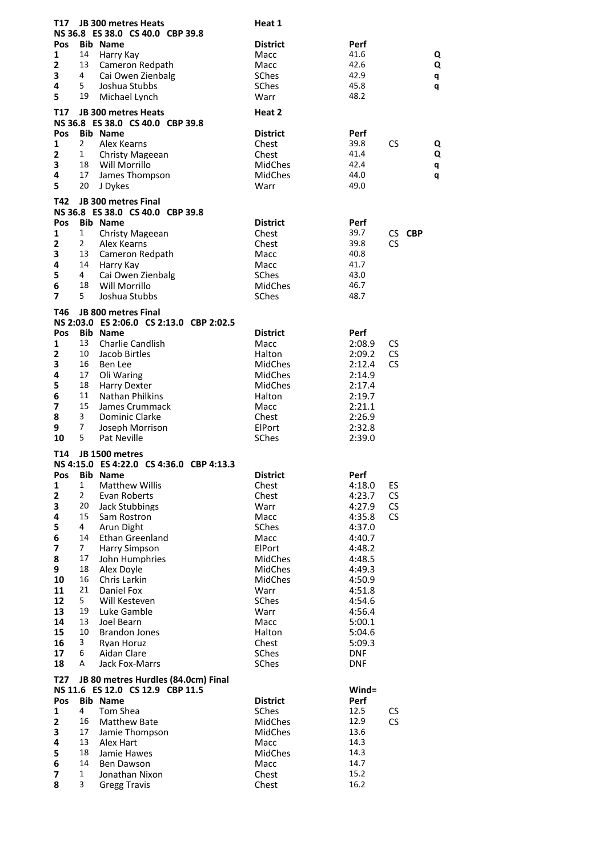| T17             |                      | <b>JB 300 metres Heats</b>                                 | Heat 1          |                  |                  |
|-----------------|----------------------|------------------------------------------------------------|-----------------|------------------|------------------|
|                 |                      | NS 36.8 ES 38.0 CS 40.0 CBP 39.8                           |                 |                  |                  |
| <b>Pos</b>      |                      | <b>Bib Name</b>                                            | <b>District</b> | Perf<br>41.6     |                  |
| 1<br>2          | 14<br>13             | Harry Kay<br>Cameron Redpath                               | Macc<br>Macc    | 42.6             | Q<br>Q           |
| 3               | 4                    | Cai Owen Zienbalg                                          | SChes           | 42.9             | q                |
| 4               | 5.                   | Joshua Stubbs                                              | SChes           | 45.8             | q                |
| 5               | 19                   | Michael Lynch                                              | Warr            | 48.2             |                  |
| T17             |                      | <b>JB 300 metres Heats</b>                                 | Heat 2          |                  |                  |
|                 |                      | NS 36.8 ES 38.0 CS 40.0 CBP 39.8                           |                 |                  |                  |
| Pos             |                      | <b>Bib Name</b>                                            | <b>District</b> | Perf             |                  |
| $\mathbf{1}$    | $\mathbf{2}$         | Alex Kearns                                                | Chest           | 39.8             | CS<br>Q          |
| $\overline{2}$  | 1                    | Christy Mageean                                            | Chest           | 41.4             | Q                |
| 3               | 18                   | Will Morrillo                                              | MidChes         | 42.4             | q                |
| 4<br>5          | 17<br>20             | James Thompson<br>J Dykes                                  | MidChes<br>Warr | 44.0<br>49.0     | q                |
|                 |                      |                                                            |                 |                  |                  |
| T42             |                      | <b>JB 300 metres Final</b>                                 |                 |                  |                  |
| <b>Pos</b>      |                      | NS 36.8 ES 38.0 CS 40.0 CBP 39.8<br><b>Bib Name</b>        | <b>District</b> | Perf             |                  |
| 1               | 1                    | <b>Christy Mageean</b>                                     | Chest           | 39.7             | CS CBP           |
| 2               | $\mathbf{2}$         | Alex Kearns                                                | Chest           | 39.8             | <b>CS</b>        |
| 3               | 13                   | Cameron Redpath                                            | Macc            | 40.8             |                  |
| 4               | 14                   | Harry Kay                                                  | Macc            | 41.7             |                  |
| 5               | 4                    | Cai Owen Zienbalg                                          | <b>SChes</b>    | 43.0             |                  |
| 6               | 18                   | Will Morrillo                                              | MidChes         | 46.7             |                  |
| $\overline{7}$  | 5                    | Joshua Stubbs                                              | SChes           | 48.7             |                  |
| T46             |                      | <b>JB 800 metres Final</b>                                 |                 |                  |                  |
|                 |                      | NS 2:03.0 ES 2:06.0 CS 2:13.0 CBP 2:02.5                   |                 |                  |                  |
| <b>Pos</b>      | 13                   | <b>Bib Name</b>                                            | <b>District</b> | Perf             |                  |
| 1<br>2          | 10                   | <b>Charlie Candlish</b><br>Jacob Birtles                   | Macc<br>Halton  | 2:08.9<br>2:09.2 | CS.<br><b>CS</b> |
| 3               | 16                   | Ben Lee                                                    | <b>MidChes</b>  | 2:12.4           | <b>CS</b>        |
| 4               | 17                   | Oli Waring                                                 | MidChes         | 2:14.9           |                  |
| 5               | 18                   | Harry Dexter                                               | <b>MidChes</b>  | 2:17.4           |                  |
| 6               | 11                   | Nathan Philkins                                            | Halton          | 2:19.7           |                  |
| 7               | 15                   | James Crummack                                             | Macc            | 2:21.1           |                  |
| 8<br>9          | 3<br>7               | Dominic Clarke                                             | Chest           | 2:26.9           |                  |
| 10              | 5                    | Joseph Morrison<br>Pat Neville                             | ElPort<br>SChes | 2:32.8<br>2:39.0 |                  |
|                 |                      |                                                            |                 |                  |                  |
| T14             |                      | JB 1500 metres<br>NS 4:15.0 ES 4:22.0 CS 4:36.0 CBP 4:13.3 |                 |                  |                  |
| Pos             |                      | <b>Bib Name</b>                                            | <b>District</b> | Perf             |                  |
| 1               | $\mathbf{1}$         | <b>Matthew Willis</b>                                      | Chest           | 4:18.0           | ES               |
| $\mathbf 2$     | $\overline{2}$       | Evan Roberts                                               | Chest           | 4:23.7           | CS               |
| 3               | 20                   | Jack Stubbings                                             | Warr            | 4:27.9           | CS               |
| 4               | 15                   | Sam Rostron                                                | Macc            | 4:35.8           | CS               |
| 5               | 4                    | Arun Dight                                                 | SChes           | 4:37.0           |                  |
| 6<br>7          | 14<br>$\overline{7}$ | <b>Ethan Greenland</b><br>Harry Simpson                    | Macc<br>ElPort  | 4:40.7<br>4:48.2 |                  |
| 8               | 17                   | John Humphries                                             | MidChes         | 4:48.5           |                  |
| 9               | 18                   | Alex Doyle                                                 | <b>MidChes</b>  | 4:49.3           |                  |
| 10              | 16                   | Chris Larkin                                               | MidChes         | 4:50.9           |                  |
| 11              | 21                   | Daniel Fox                                                 | Warr            | 4:51.8           |                  |
| 12              | 5                    | Will Kesteven                                              | SChes           | 4:54.6           |                  |
| 13              | 19<br>13             | Luke Gamble                                                | Warr            | 4:56.4           |                  |
| 14<br>15        | 10                   | Joel Bearn<br><b>Brandon Jones</b>                         | Macc<br>Halton  | 5:00.1<br>5:04.6 |                  |
| 16              | 3                    | Ryan Horuz                                                 | Chest           | 5:09.3           |                  |
| 17              | 6                    | Aidan Clare                                                | SChes           | <b>DNF</b>       |                  |
| 18              | Α                    | Jack Fox-Marrs                                             | SChes           | <b>DNF</b>       |                  |
| T <sub>27</sub> |                      | JB 80 metres Hurdles (84.0cm) Final                        |                 |                  |                  |
|                 |                      | NS 11.6 ES 12.0 CS 12.9 CBP 11.5                           |                 | $Wind =$         |                  |
| Pos             |                      | <b>Bib Name</b>                                            | <b>District</b> | Perf             |                  |
| 1               | 4                    | Tom Shea                                                   | SChes           | 12.5             | CS               |
| 2               | 16                   | <b>Matthew Bate</b>                                        | <b>MidChes</b>  | 12.9             | CS               |
| 3<br>4          | 17<br>13             | Jamie Thompson<br>Alex Hart                                | MidChes<br>Macc | 13.6<br>14.3     |                  |
| 5               | 18                   | Jamie Hawes                                                | MidChes         | 14.3             |                  |
| 6               | 14                   | Ben Dawson                                                 | Macc            | 14.7             |                  |
| 7               | 1                    | Jonathan Nixon                                             | Chest           | 15.2             |                  |
| 8               | 3                    | <b>Gregg Travis</b>                                        | Chest           | 16.2             |                  |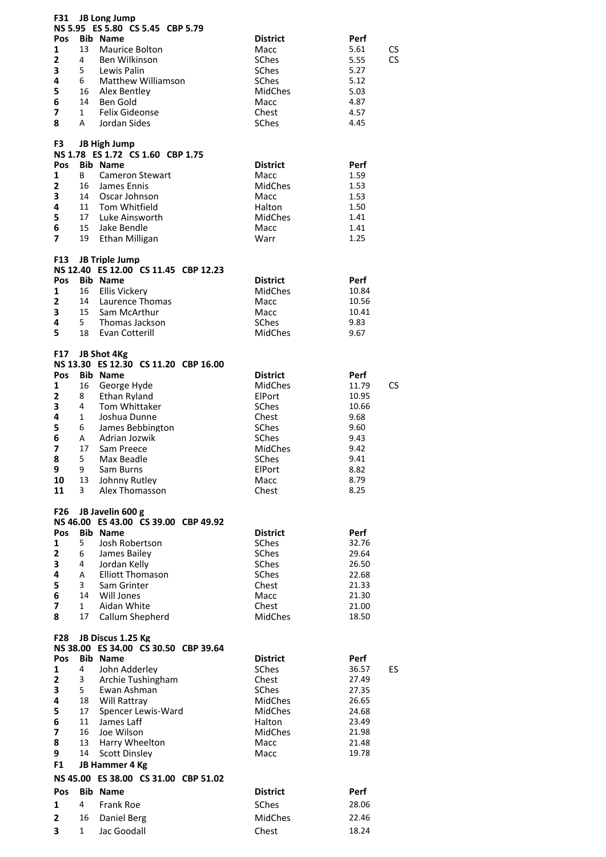| F31                     |                | <b>JB Long Jump</b>                                           |                      |                |           |
|-------------------------|----------------|---------------------------------------------------------------|----------------------|----------------|-----------|
|                         |                | NS 5.95 ES 5.80 CS 5.45 CBP 5.79                              | <b>District</b>      |                |           |
| Pos<br>1                | 13             | <b>Bib Name</b><br>Maurice Bolton                             |                      | Perf<br>5.61   | CS        |
| $\overline{\mathbf{2}}$ | 4              | Ben Wilkinson                                                 | Macc<br><b>SChes</b> | 5.55           | <b>CS</b> |
| 3                       | 5              | Lewis Palin                                                   | SChes                | 5.27           |           |
| 4                       | 6              | <b>Matthew Williamson</b>                                     | SChes                | 5.12           |           |
| 5                       | 16             | Alex Bentley                                                  | MidChes              | 5.03           |           |
| 6                       | 14             | Ben Gold                                                      | Macc                 | 4.87           |           |
| 7                       | $\mathbf{1}$   | <b>Felix Gideonse</b>                                         | Chest                | 4.57           |           |
| 8                       | A              | Jordan Sides                                                  | <b>SChes</b>         | 4.45           |           |
|                         |                |                                                               |                      |                |           |
| F3                      |                | <b>JB High Jump</b>                                           |                      |                |           |
|                         |                | NS 1.78 ES 1.72 CS 1.60 CBP 1.75                              |                      |                |           |
| Pos                     |                | <b>Bib Name</b>                                               | <b>District</b>      | Perf           |           |
| $\mathbf{1}$            | B              | <b>Cameron Stewart</b>                                        | Macc                 | 1.59           |           |
| $\overline{2}$          | 16             | James Ennis                                                   | MidChes              | 1.53           |           |
| 3                       | 14             | Oscar Johnson                                                 | Macc                 | 1.53           |           |
| 4                       | 11             | Tom Whitfield                                                 | Halton               | 1.50           |           |
| 5                       | 17             | Luke Ainsworth                                                | <b>MidChes</b>       | 1.41           |           |
| 6                       | 15             | Jake Bendle                                                   | Macc                 | 1.41           |           |
| $\overline{7}$          | 19             | Ethan Milligan                                                | Warr                 | 1.25           |           |
| <b>F13</b>              |                |                                                               |                      |                |           |
|                         |                | <b>JB Triple Jump</b><br>NS 12.40 ES 12.00 CS 11.45 CBP 12.23 |                      |                |           |
| <b>Pos</b>              |                | <b>Bib Name</b>                                               | <b>District</b>      | Perf           |           |
| $\mathbf{1}$            | 16             | <b>Ellis Vickerv</b>                                          | <b>MidChes</b>       | 10.84          |           |
| 2                       | 14             | Laurence Thomas                                               | Macc                 | 10.56          |           |
| 3                       | 15             | Sam McArthur                                                  | Macc                 | 10.41          |           |
| 4                       | 5              | Thomas Jackson                                                | SChes                | 9.83           |           |
| 5                       | 18             | Evan Cotterill                                                | <b>MidChes</b>       | 9.67           |           |
|                         |                |                                                               |                      |                |           |
| F17                     |                | JB Shot 4Kg                                                   |                      |                |           |
|                         |                | NS 13.30 ES 12.30 CS 11.20 CBP 16.00                          |                      |                |           |
| Pos                     |                | <b>Bib Name</b>                                               | <b>District</b>      | Perf           |           |
| 1                       | 16             | George Hyde                                                   | MidChes              | 11.79          | CS        |
| $\overline{\mathbf{2}}$ | 8              | Ethan Ryland                                                  | <b>ElPort</b>        | 10.95          |           |
| 3                       | 4              | Tom Whittaker                                                 | <b>SChes</b>         | 10.66          |           |
| 4                       | 1              | Joshua Dunne                                                  | Chest                | 9.68           |           |
| 5                       | 6              | James Bebbington                                              | SChes                | 9.60           |           |
| 6                       | Α              | Adrian Jozwik                                                 | SChes                | 9.43           |           |
| 7                       | 17             | Sam Preece                                                    | MidChes              | 9.42           |           |
| 8                       | 5              | Max Beadle                                                    | <b>SChes</b>         | 9.41           |           |
| 9                       |                | 9 Sam Burns                                                   | ElPort               | 8.82           |           |
| 10<br>11                | 13<br>3        | Johnny Rutley<br>Alex Thomasson                               | Macc<br>Chest        | 8.79<br>8.25   |           |
|                         |                |                                                               |                      |                |           |
| <b>F26</b>              |                | JB Javelin 600 g                                              |                      |                |           |
|                         |                | NS 46.00 ES 43.00 CS 39.00 CBP 49.92                          |                      |                |           |
| Pos                     |                | <b>Bib Name</b>                                               | <b>District</b>      | Perf           |           |
| 1                       | 5              | Josh Robertson                                                | SChes                | 32.76          |           |
| 2                       | 6              | James Bailey                                                  | SChes                | 29.64          |           |
| 3                       | 4              | Jordan Kelly                                                  | <b>SChes</b>         | 26.50          |           |
| 4                       | Α              | <b>Elliott Thomason</b>                                       | SChes                | 22.68          |           |
| 5                       | $\overline{3}$ | Sam Grinter                                                   | Chest                | 21.33          |           |
| 6                       | 14             | Will Jones                                                    | Macc                 | 21.30          |           |
| $\overline{7}$          | $\mathbf{1}$   | Aidan White                                                   | Chest                | 21.00          |           |
| 8                       | 17             | Callum Shepherd                                               | MidChes              | 18.50          |           |
|                         |                |                                                               |                      |                |           |
| <b>F28</b>              |                | JB Discus 1.25 Kg<br>NS 38.00 ES 34.00 CS 30.50 CBP 39.64     |                      |                |           |
| <b>Pos</b>              |                | <b>Bib Name</b>                                               | <b>District</b>      | Perf           |           |
| 1                       | 4              | John Adderley                                                 | <b>SChes</b>         | 36.57          | ES        |
| 2                       | $\mathbf{3}$   | Archie Tushingham                                             | Chest                | 27.49          |           |
|                         |                | Ewan Ashman                                                   | SChes                | 27.35          |           |
|                         |                |                                                               |                      |                |           |
| 3<br>4                  | 5 <sub>5</sub> |                                                               |                      |                |           |
|                         | 18             | Will Rattray                                                  | <b>MidChes</b>       | 26.65          |           |
| 5<br>6                  | 17<br>11       | Spencer Lewis-Ward<br>James Laff                              | MidChes<br>Halton    | 24.68<br>23.49 |           |
| 7                       | 16             | Joe Wilson                                                    | MidChes              | 21.98          |           |
| 8                       | 13             | Harry Wheelton                                                | Macc                 | 21.48          |           |
| 9                       | 14             | <b>Scott Dinsley</b>                                          | Macc                 | 19.78          |           |
| F1                      |                | JB Hammer 4 Kg                                                |                      |                |           |
|                         |                |                                                               |                      |                |           |
|                         |                | NS 45.00 ES 38.00 CS 31.00 CBP 51.02                          |                      |                |           |
| Pos                     |                | <b>Bib Name</b>                                               | <b>District</b>      | Perf           |           |
| 1                       | 4              | <b>Frank Roe</b>                                              | <b>SChes</b>         | 28.06          |           |
| $\mathbf{2}$            | 16             | Daniel Berg                                                   | MidChes              | 22.46          |           |
| 3                       | $\mathbf{1}$   | Jac Goodall                                                   | Chest                | 18.24          |           |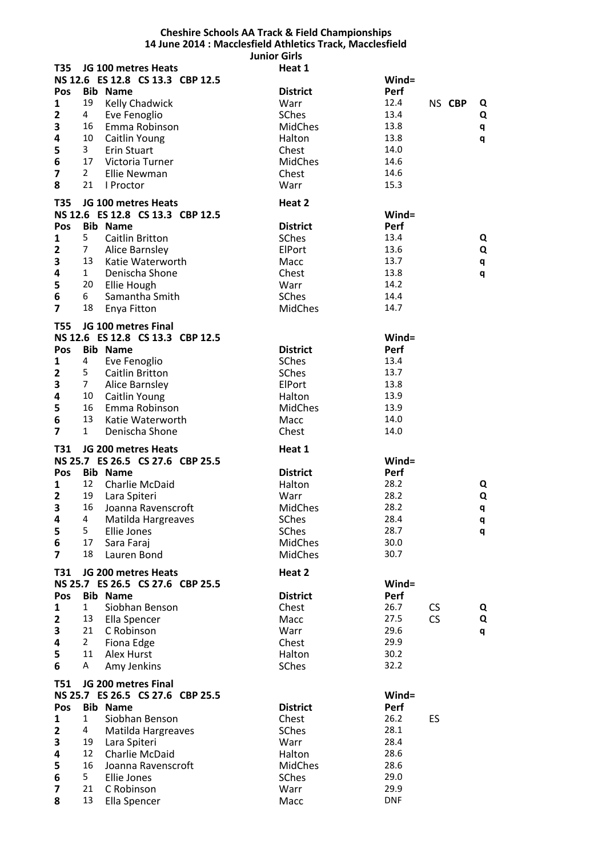## **Cheshire Schools AA Track & Field Championships 14 June 2014 : Macclesfield Athletics Track, Macclesfield Junior Girls**

| <b>T35</b>                   |                | JG 100 metres Heats              | Heat 1          |                    |           |        |   |
|------------------------------|----------------|----------------------------------|-----------------|--------------------|-----------|--------|---|
|                              |                | NS 12.6 ES 12.8 CS 13.3 CBP 12.5 |                 | Wind=              |           |        |   |
| Pos                          |                | <b>Bib Name</b>                  | <b>District</b> | Perf               |           |        |   |
| 1                            | 19             | Kelly Chadwick                   | Warr            | 12.4               |           | NS CBP | Q |
| $\overline{\mathbf{2}}$      | 4              | Eve Fenoglio                     | <b>SChes</b>    | 13.4               |           |        | Q |
| 3                            | 16             | Emma Robinson                    | <b>MidChes</b>  | 13.8               |           |        | q |
| 4                            | 10             | Caitlin Young                    | Halton          | 13.8               |           |        | q |
| 5                            | 3              | Erin Stuart                      | Chest           | 14.0               |           |        |   |
| 6                            | 17             | Victoria Turner                  | <b>MidChes</b>  | 14.6               |           |        |   |
| $\overline{\mathbf{z}}$      | $\overline{2}$ | Ellie Newman                     | Chest           | 14.6               |           |        |   |
| 8                            | 21             | I Proctor                        | Warr            | 15.3               |           |        |   |
| <b>T35</b>                   |                | JG 100 metres Heats              | Heat 2          |                    |           |        |   |
|                              |                | NS 12.6 ES 12.8 CS 13.3 CBP 12.5 |                 | $Wind =$           |           |        |   |
| Pos                          |                | <b>Bib Name</b>                  | <b>District</b> | Perf               |           |        |   |
| 1                            | 5              | Caitlin Britton                  | SChes           | 13.4               |           |        | Q |
| $\mathbf{2}$                 | $\overline{7}$ | Alice Barnsley                   | ElPort          | 13.6               |           |        | Q |
| 3                            | 13             | Katie Waterworth                 | Macc            | 13.7               |           |        | q |
| 4                            | $\mathbf{1}$   | Denischa Shone                   | Chest           | 13.8               |           |        | q |
| 5                            | 20             | Ellie Hough                      | Warr            | 14.2               |           |        |   |
| $\bf 6$                      | 6              | Samantha Smith                   | SChes           | 14.4               |           |        |   |
| $\overline{7}$               | 18             | Enya Fitton                      | <b>MidChes</b>  | 14.7               |           |        |   |
| <b>T55</b>                   |                | JG 100 metres Final              |                 |                    |           |        |   |
|                              |                | NS 12.6 ES 12.8 CS 13.3 CBP 12.5 |                 | Wind=              |           |        |   |
| Pos                          |                | <b>Bib Name</b>                  | <b>District</b> | Perf               |           |        |   |
| 1                            | 4              | Eve Fenoglio                     | <b>SChes</b>    | 13.4               |           |        |   |
| $\overline{\mathbf{2}}$      | 5              | <b>Caitlin Britton</b>           | SChes           | 13.7               |           |        |   |
| 3                            | $\overline{7}$ | Alice Barnsley                   | ElPort          | 13.8               |           |        |   |
| 4                            | 10             | Caitlin Young                    | Halton          | 13.9               |           |        |   |
| 5                            | 16             | Emma Robinson                    | <b>MidChes</b>  | 13.9               |           |        |   |
| 6                            | 13             | Katie Waterworth                 | Macc            | 14.0               |           |        |   |
|                              | $\mathbf{1}$   | Denischa Shone                   | Chest           | 14.0               |           |        |   |
| $\overline{7}$               |                |                                  |                 |                    |           |        |   |
|                              |                |                                  |                 |                    |           |        |   |
| <b>T31</b>                   |                | JG 200 metres Heats              | Heat 1          |                    |           |        |   |
|                              |                | NS 25.7 ES 26.5 CS 27.6 CBP 25.5 |                 | Wind=              |           |        |   |
| Pos                          |                | <b>Bib Name</b>                  | <b>District</b> | Perf               |           |        |   |
| 1                            | 12             | Charlie McDaid                   | Halton          | 28.2               |           |        | Q |
| $\mathbf{2}$                 | 19             | Lara Spiteri                     | Warr            | 28.2               |           |        | Q |
| 3                            | 16             | Joanna Ravenscroft               | <b>MidChes</b>  | 28.2               |           |        | q |
| $\overline{\mathbf{4}}$      |                | 4 Matilda Hargreaves             | <b>SChes</b>    | 28.4               |           |        | q |
| 5                            | 5              | Ellie Jones                      | <b>SChes</b>    | 28.7               |           |        | q |
| $\bf 6$                      | 17             | Sara Faraj                       | <b>MidChes</b>  | 30.0               |           |        |   |
| $\overline{\mathbf{z}}$      | 18             | Lauren Bond                      | <b>MidChes</b>  | 30.7               |           |        |   |
| T31                          |                | JG 200 metres Heats              | Heat 2          |                    |           |        |   |
|                              |                | NS 25.7 ES 26.5 CS 27.6 CBP 25.5 |                 | $Wind =$           |           |        |   |
| Pos                          |                | <b>Bib Name</b>                  | <b>District</b> | Perf               |           |        |   |
| 1                            | 1              | Siobhan Benson                   | Chest           | 26.7               | CS        |        | Q |
| $\overline{\mathbf{c}}$      | 13             | Ella Spencer                     | Macc            | 27.5               | <b>CS</b> |        | Q |
| 3                            | 21             | C Robinson                       | Warr            | 29.6               |           |        | q |
| 4                            | $\overline{2}$ | Fiona Edge                       | Chest           | 29.9               |           |        |   |
| 5                            | 11             | <b>Alex Hurst</b>                | Halton          | 30.2               |           |        |   |
| 6                            | A              | Amy Jenkins                      | <b>SChes</b>    | 32.2               |           |        |   |
| <b>T51</b>                   |                | JG 200 metres Final              |                 |                    |           |        |   |
|                              |                | NS 25.7 ES 26.5 CS 27.6 CBP 25.5 |                 | Wind=              |           |        |   |
| Pos                          |                | <b>Bib Name</b>                  | <b>District</b> | Perf               |           |        |   |
| 1                            | 1              | Siobhan Benson                   | Chest           | 26.2               | ES        |        |   |
| 2                            | 4              | Matilda Hargreaves               | <b>SChes</b>    | 28.1               |           |        |   |
| 3                            | 19             | Lara Spiteri                     | Warr            | 28.4               |           |        |   |
| 4                            | 12             | Charlie McDaid                   | Halton          | 28.6               |           |        |   |
| 5                            | 16             | Joanna Ravenscroft               | <b>MidChes</b>  | 28.6               |           |        |   |
| 6                            | 5              | Ellie Jones                      | <b>SChes</b>    | 29.0               |           |        |   |
| $\overline{\mathbf{z}}$<br>8 | 21<br>13       | C Robinson<br>Ella Spencer       | Warr<br>Macc    | 29.9<br><b>DNF</b> |           |        |   |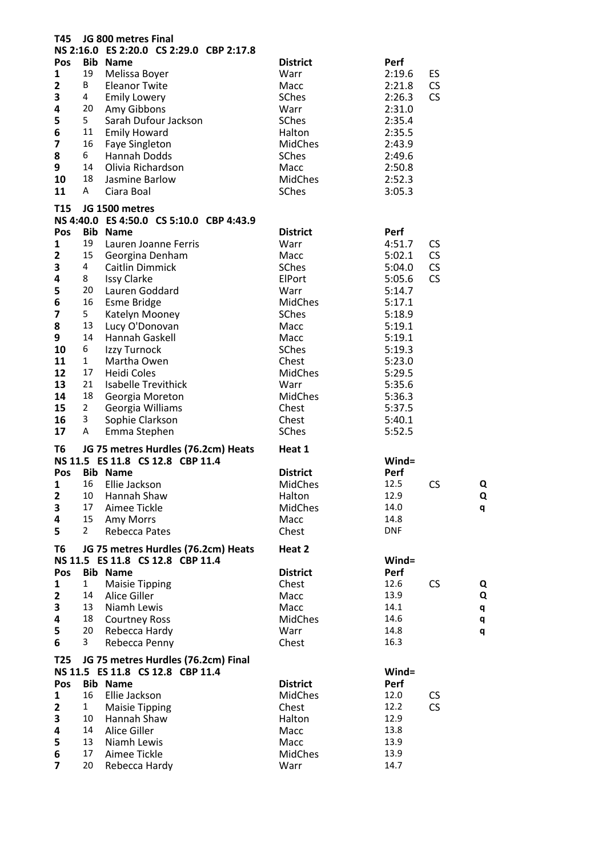| JG 800 metres Final<br>T45 |                |                                          |                 |            |                |  |  |  |
|----------------------------|----------------|------------------------------------------|-----------------|------------|----------------|--|--|--|
|                            |                | NS 2:16.0 ES 2:20.0 CS 2:29.0 CBP 2:17.8 |                 |            |                |  |  |  |
| Pos                        |                | <b>Bib Name</b>                          | <b>District</b> | Perf       |                |  |  |  |
| 1                          | 19             | Melissa Boyer                            | Warr            | 2:19.6     | ES             |  |  |  |
| $\overline{\mathbf{2}}$    | B              | <b>Eleanor Twite</b>                     | Macc            | 2:21.8     | <b>CS</b>      |  |  |  |
| 3                          | 4              | <b>Emily Lowery</b>                      | SChes           | 2:26.3     | <b>CS</b>      |  |  |  |
| 4                          | 20             | Amy Gibbons                              | Warr            | 2:31.0     |                |  |  |  |
| 5                          | 5              | Sarah Dufour Jackson                     | SChes           | 2:35.4     |                |  |  |  |
| 6                          | 11             | <b>Emily Howard</b>                      | Halton          | 2:35.5     |                |  |  |  |
| 7                          | 16             | <b>Faye Singleton</b>                    | <b>MidChes</b>  | 2:43.9     |                |  |  |  |
| 8                          | 6              | <b>Hannah Dodds</b>                      | SChes           | 2:49.6     |                |  |  |  |
| 9                          | 14             | Olivia Richardson                        | Macc            | 2:50.8     |                |  |  |  |
| 10                         | 18             | Jasmine Barlow                           | MidChes         | 2:52.3     |                |  |  |  |
| 11                         | A              | Ciara Boal                               | SChes           | 3:05.3     |                |  |  |  |
|                            |                |                                          |                 |            |                |  |  |  |
| <b>T15</b>                 |                | JG 1500 metres                           |                 |            |                |  |  |  |
|                            |                | NS 4:40.0 ES 4:50.0 CS 5:10.0 CBP 4:43.9 |                 |            |                |  |  |  |
| Pos                        |                | <b>Bib Name</b>                          | <b>District</b> | Perf       |                |  |  |  |
| 1                          | 19             | Lauren Joanne Ferris                     | Warr            | 4:51.7     | <b>CS</b>      |  |  |  |
| $\overline{\mathbf{2}}$    | 15             | Georgina Denham                          | Macc            | 5:02.1     | <b>CS</b>      |  |  |  |
| 3                          | 4              | Caitlin Dimmick                          | SChes           | 5:04.0     | <b>CS</b>      |  |  |  |
| 4                          | 8              | <b>Issy Clarke</b>                       | ElPort          | 5:05.6     | <b>CS</b>      |  |  |  |
| 5                          | 20             | Lauren Goddard                           | Warr            | 5:14.7     |                |  |  |  |
| 6                          | 16             | <b>Esme Bridge</b>                       | <b>MidChes</b>  | 5:17.1     |                |  |  |  |
| 7                          | 5              | Katelyn Mooney                           | SChes           | 5:18.9     |                |  |  |  |
| 8                          | 13             | Lucy O'Donovan                           | Macc            | 5:19.1     |                |  |  |  |
| 9                          | 14             | Hannah Gaskell                           | Macc            | 5:19.1     |                |  |  |  |
| 10                         | 6              | Izzy Turnock                             | SChes           | 5:19.3     |                |  |  |  |
| 11                         | $\mathbf{1}$   | Martha Owen                              | Chest           | 5:23.0     |                |  |  |  |
| 12                         | 17             | <b>Heidi Coles</b>                       | MidChes         | 5:29.5     |                |  |  |  |
| 13                         | 21             | <b>Isabelle Trevithick</b>               | Warr            | 5:35.6     |                |  |  |  |
| 14                         | 18             | Georgia Moreton                          | <b>MidChes</b>  | 5:36.3     |                |  |  |  |
| 15                         | $\overline{2}$ | Georgia Williams                         | Chest           | 5:37.5     |                |  |  |  |
| 16                         | 3              | Sophie Clarkson                          | Chest           | 5:40.1     |                |  |  |  |
| 17                         | Α              | Emma Stephen                             | <b>SChes</b>    | 5:52.5     |                |  |  |  |
| T6                         |                | JG 75 metres Hurdles (76.2cm) Heats      | Heat 1          |            |                |  |  |  |
|                            |                | NS 11.5 ES 11.8 CS 12.8 CBP 11.4         |                 | $Wind =$   |                |  |  |  |
| Pos                        |                | <b>Bib Name</b>                          | <b>District</b> | Perf       |                |  |  |  |
| 1                          | 16             | Ellie Jackson                            | <b>MidChes</b>  | 12.5       | CS<br>Q        |  |  |  |
|                            | 10             |                                          |                 | 12.9       | Q              |  |  |  |
| $\mathbf{2}$               | 17             | Hannah Shaw                              | Halton          | 14.0       |                |  |  |  |
| 3                          |                | Aimee Tickle                             | MidChes         |            | q              |  |  |  |
| 4                          | 15             | Amy Morrs                                | Macc            | 14.8       |                |  |  |  |
| 5                          | $\overline{2}$ | <b>Rebecca Pates</b>                     | Chest           | <b>DNF</b> |                |  |  |  |
| T <sub>6</sub>             |                | JG 75 metres Hurdles (76.2cm) Heats      | Heat 2          |            |                |  |  |  |
|                            |                | NS 11.5 ES 11.8 CS 12.8 CBP 11.4         |                 | $Wind =$   |                |  |  |  |
| Pos                        |                | <b>Bib Name</b>                          | <b>District</b> | Perf       |                |  |  |  |
| 1                          | 1              | <b>Maisie Tipping</b>                    | Chest           | 12.6       | <b>CS</b><br>Q |  |  |  |
| 2                          | 14             | Alice Giller                             | Macc            | 13.9       | Q              |  |  |  |
| 3                          | 13             | Niamh Lewis                              | Macc            | 14.1       | q              |  |  |  |
| 4                          | 18             | <b>Courtney Ross</b>                     | MidChes         | 14.6       | q              |  |  |  |
| 5                          | 20             | Rebecca Hardy                            | Warr            | 14.8       | q              |  |  |  |
| 6                          | 3              | Rebecca Penny                            | Chest           | 16.3       |                |  |  |  |
|                            |                |                                          |                 |            |                |  |  |  |
| T <sub>25</sub>            |                | JG 75 metres Hurdles (76.2cm) Final      |                 |            |                |  |  |  |
|                            |                | NS 11.5 ES 11.8 CS 12.8 CBP 11.4         |                 | $Wind =$   |                |  |  |  |
| Pos                        |                | <b>Bib Name</b>                          | <b>District</b> | Perf       |                |  |  |  |
| 1                          | 16             | Ellie Jackson                            | <b>MidChes</b>  | 12.0       | <b>CS</b>      |  |  |  |
| $\overline{\mathbf{2}}$    | $\mathbf{1}$   | <b>Maisie Tipping</b>                    | Chest           | 12.2       | CS             |  |  |  |
| 3                          | 10             | Hannah Shaw                              | Halton          | 12.9       |                |  |  |  |
| 4                          | 14             | Alice Giller                             | Macc            | 13.8       |                |  |  |  |
| 5                          | 13             | Niamh Lewis                              | Macc            | 13.9       |                |  |  |  |
| $\bf 6$                    | 17<br>20       | Aimee Tickle                             | <b>MidChes</b>  | 13.9       |                |  |  |  |
| $\overline{7}$             |                | Rebecca Hardy                            | Warr            | 14.7       |                |  |  |  |